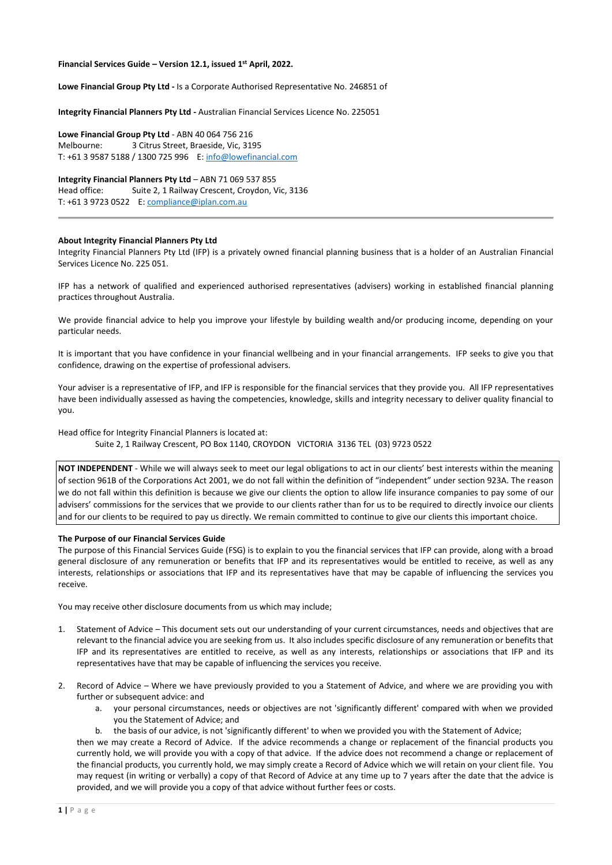# **Financial Services Guide – Version 12.1, issued 1st April, 2022.**

**Lowe Financial Group Pty Ltd -** Is a Corporate Authorised Representative No. 246851 of

**Integrity Financial Planners Pty Ltd -** Australian Financial Services Licence No. 225051

**Lowe Financial Group Pty Ltd** - ABN 40 064 756 216 Melbourne: 3 Citrus Street, Braeside, Vic, 3195 T: +61 3 9587 5188 / 1300 725 996 E[: info@lowefinancial.com](mailto:info@lowefinancial.com)

**Integrity Financial Planners Pty Ltd** – ABN 71 069 537 855 Head office: Suite 2, 1 Railway Crescent, Croydon, Vic, 3136 T: +61 3 9723 0522 E[: compliance@iplan.com.au](mailto:compliance@iplan.com.au)

### **About Integrity Financial Planners Pty Ltd**

Integrity Financial Planners Pty Ltd (IFP) is a privately owned financial planning business that is a holder of an Australian Financial Services Licence No. 225 051.

IFP has a network of qualified and experienced authorised representatives (advisers) working in established financial planning practices throughout Australia.

We provide financial advice to help you improve your lifestyle by building wealth and/or producing income, depending on your particular needs.

It is important that you have confidence in your financial wellbeing and in your financial arrangements. IFP seeks to give you that confidence, drawing on the expertise of professional advisers.

Your adviser is a representative of IFP, and IFP is responsible for the financial services that they provide you. All IFP representatives have been individually assessed as having the competencies, knowledge, skills and integrity necessary to deliver quality financial to you.

# Head office for Integrity Financial Planners is located at: Suite 2, 1 Railway Crescent, PO Box 1140, CROYDON VICTORIA 3136 TEL (03) 9723 0522

**NOT INDEPENDENT** - While we will always seek to meet our legal obligations to act in our clients' best interests within the meaning of section 961B of the Corporations Act 2001, we do not fall within the definition of "independent" under section 923A. The reason we do not fall within this definition is because we give our clients the option to allow life insurance companies to pay some of our advisers' commissions for the services that we provide to our clients rather than for us to be required to directly invoice our clients and for our clients to be required to pay us directly. We remain committed to continue to give our clients this important choice.

#### **The Purpose of our Financial Services Guide**

The purpose of this Financial Services Guide (FSG) is to explain to you the financial services that IFP can provide, along with a broad general disclosure of any remuneration or benefits that IFP and its representatives would be entitled to receive, as well as any interests, relationships or associations that IFP and its representatives have that may be capable of influencing the services you receive.

You may receive other disclosure documents from us which may include;

- 1. Statement of Advice This document sets out our understanding of your current circumstances, needs and objectives that are relevant to the financial advice you are seeking from us. It also includes specific disclosure of any remuneration or benefits that IFP and its representatives are entitled to receive, as well as any interests, relationships or associations that IFP and its representatives have that may be capable of influencing the services you receive.
- 2. Record of Advice Where we have previously provided to you a Statement of Advice, and where we are providing you with further or subsequent advice: and
	- a. your personal circumstances, needs or objectives are not 'significantly different' compared with when we provided you the Statement of Advice; and
	- b. the basis of our advice, is not 'significantly different' to when we provided you with the Statement of Advice;

then we may create a Record of Advice. If the advice recommends a change or replacement of the financial products you currently hold, we will provide you with a copy of that advice. If the advice does not recommend a change or replacement of the financial products, you currently hold, we may simply create a Record of Advice which we will retain on your client file. You may request (in writing or verbally) a copy of that Record of Advice at any time up to 7 years after the date that the advice is provided, and we will provide you a copy of that advice without further fees or costs.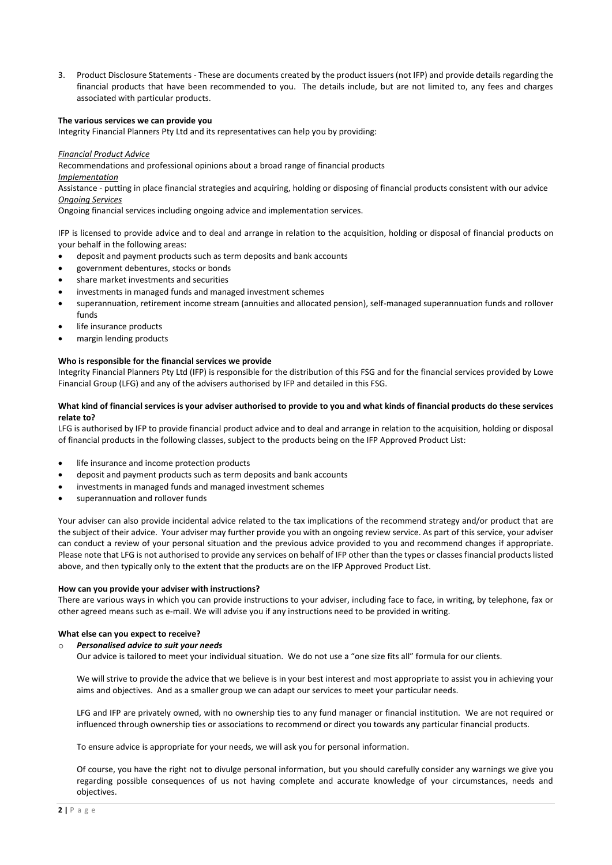3. Product Disclosure Statements - These are documents created by the product issuers (not IFP) and provide details regarding the financial products that have been recommended to you. The details include, but are not limited to, any fees and charges associated with particular products.

# **The various services we can provide you**

Integrity Financial Planners Pty Ltd and its representatives can help you by providing:

### *Financial Product Advice*

Recommendations and professional opinions about a broad range of financial products *Implementation*

Assistance - putting in place financial strategies and acquiring, holding or disposing of financial products consistent with our advice *Ongoing Services*

Ongoing financial services including ongoing advice and implementation services.

IFP is licensed to provide advice and to deal and arrange in relation to the acquisition, holding or disposal of financial products on your behalf in the following areas:

- deposit and payment products such as term deposits and bank accounts
- government debentures, stocks or bonds
- share market investments and securities
- investments in managed funds and managed investment schemes
- superannuation, retirement income stream (annuities and allocated pension), self-managed superannuation funds and rollover funds
- life insurance products
- margin lending products

#### **Who is responsible for the financial services we provide**

Integrity Financial Planners Pty Ltd (IFP) is responsible for the distribution of this FSG and for the financial services provided by Lowe Financial Group (LFG) and any of the advisers authorised by IFP and detailed in this FSG.

# **What kind of financial services is your adviser authorised to provide to you and what kinds of financial products do these services relate to?**

LFG is authorised by IFP to provide financial product advice and to deal and arrange in relation to the acquisition, holding or disposal of financial products in the following classes, subject to the products being on the IFP Approved Product List:

- life insurance and income protection products
- deposit and payment products such as term deposits and bank accounts
- investments in managed funds and managed investment schemes
- superannuation and rollover funds

Your adviser can also provide incidental advice related to the tax implications of the recommend strategy and/or product that are the subject of their advice. Your adviser may further provide you with an ongoing review service. As part of this service, your adviser can conduct a review of your personal situation and the previous advice provided to you and recommend changes if appropriate. Please note that LFG is not authorised to provide any services on behalf of IFP other than the types or classes financial products listed above, and then typically only to the extent that the products are on the IFP Approved Product List.

#### **How can you provide your adviser with instructions?**

There are various ways in which you can provide instructions to your adviser, including face to face, in writing, by telephone, fax or other agreed means such as e-mail. We will advise you if any instructions need to be provided in writing.

### **What else can you expect to receive?**

#### o *Personalised advice to suit your needs*

Our advice is tailored to meet your individual situation. We do not use a "one size fits all" formula for our clients.

We will strive to provide the advice that we believe is in your best interest and most appropriate to assist you in achieving your aims and objectives. And as a smaller group we can adapt our services to meet your particular needs.

LFG and IFP are privately owned, with no ownership ties to any fund manager or financial institution. We are not required or influenced through ownership ties or associations to recommend or direct you towards any particular financial products.

To ensure advice is appropriate for your needs, we will ask you for personal information.

Of course, you have the right not to divulge personal information, but you should carefully consider any warnings we give you regarding possible consequences of us not having complete and accurate knowledge of your circumstances, needs and objectives.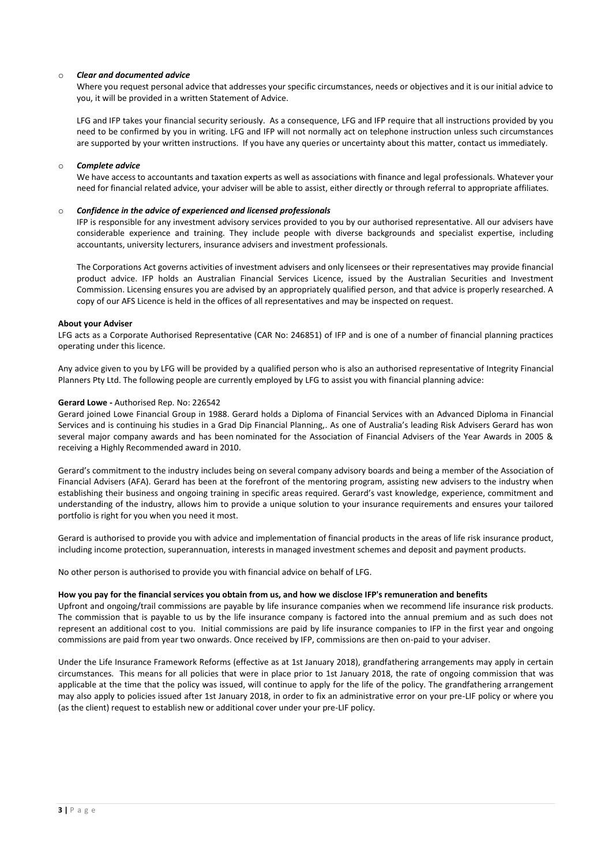# o *Clear and documented advice*

Where you request personal advice that addresses your specific circumstances, needs or objectives and it is our initial advice to you, it will be provided in a written Statement of Advice.

LFG and IFP takes your financial security seriously. As a consequence, LFG and IFP require that all instructions provided by you need to be confirmed by you in writing. LFG and IFP will not normally act on telephone instruction unless such circumstances are supported by your written instructions. If you have any queries or uncertainty about this matter, contact us immediately.

### o *Complete advice*

We have access to accountants and taxation experts as well as associations with finance and legal professionals. Whatever your need for financial related advice, your adviser will be able to assist, either directly or through referral to appropriate affiliates.

#### o *Confidence in the advice of experienced and licensed professionals*

IFP is responsible for any investment advisory services provided to you by our authorised representative. All our advisers have considerable experience and training. They include people with diverse backgrounds and specialist expertise, including accountants, university lecturers, insurance advisers and investment professionals.

The Corporations Act governs activities of investment advisers and only licensees or their representatives may provide financial product advice. IFP holds an Australian Financial Services Licence, issued by the Australian Securities and Investment Commission. Licensing ensures you are advised by an appropriately qualified person, and that advice is properly researched. A copy of our AFS Licence is held in the offices of all representatives and may be inspected on request.

#### **About your Adviser**

LFG acts as a Corporate Authorised Representative (CAR No: 246851) of IFP and is one of a number of financial planning practices operating under this licence.

Any advice given to you by LFG will be provided by a qualified person who is also an authorised representative of Integrity Financial Planners Pty Ltd. The following people are currently employed by LFG to assist you with financial planning advice:

#### **Gerard Lowe -** Authorised Rep. No: 226542

Gerard joined Lowe Financial Group in 1988. Gerard holds a Diploma of Financial Services with an Advanced Diploma in Financial Services and is continuing his studies in a Grad Dip Financial Planning,. As one of Australia's leading Risk Advisers Gerard has won several major company awards and has been nominated for the Association of Financial Advisers of the Year Awards in 2005 & receiving a Highly Recommended award in 2010.

Gerard's commitment to the industry includes being on several company advisory boards and being a member of the Association of Financial Advisers (AFA). Gerard has been at the forefront of the mentoring program, assisting new advisers to the industry when establishing their business and ongoing training in specific areas required. Gerard's vast knowledge, experience, commitment and understanding of the industry, allows him to provide a unique solution to your insurance requirements and ensures your tailored portfolio is right for you when you need it most.

Gerard is authorised to provide you with advice and implementation of financial products in the areas of life risk insurance product, including income protection, superannuation, interests in managed investment schemes and deposit and payment products.

No other person is authorised to provide you with financial advice on behalf of LFG.

### **How you pay for the financial services you obtain from us, and how we disclose IFP's remuneration and benefits**

Upfront and ongoing/trail commissions are payable by life insurance companies when we recommend life insurance risk products. The commission that is payable to us by the life insurance company is factored into the annual premium and as such does not represent an additional cost to you. Initial commissions are paid by life insurance companies to IFP in the first year and ongoing commissions are paid from year two onwards. Once received by IFP, commissions are then on-paid to your adviser.

Under the Life Insurance Framework Reforms (effective as at 1st January 2018), grandfathering arrangements may apply in certain circumstances. This means for all policies that were in place prior to 1st January 2018, the rate of ongoing commission that was applicable at the time that the policy was issued, will continue to apply for the life of the policy. The grandfathering arrangement may also apply to policies issued after 1st January 2018, in order to fix an administrative error on your pre-LIF policy or where you (as the client) request to establish new or additional cover under your pre-LIF policy.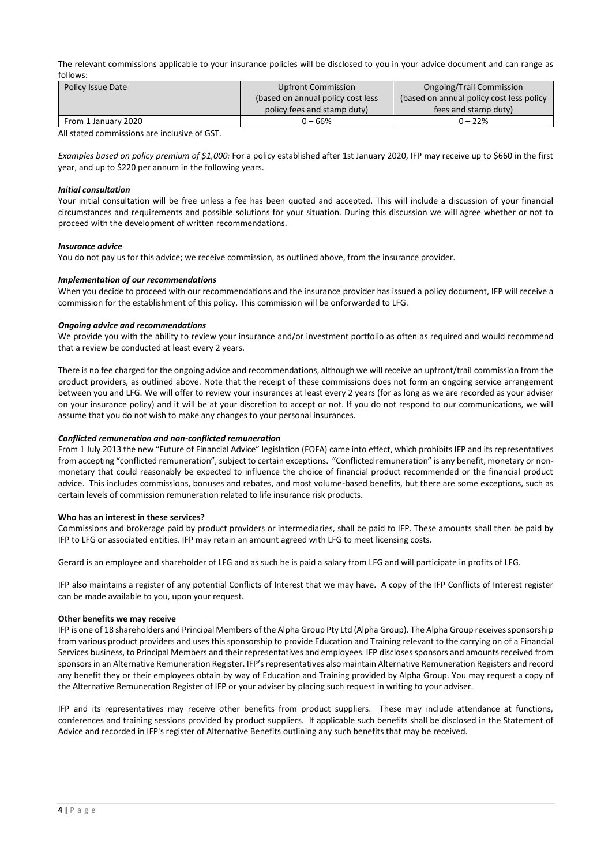The relevant commissions applicable to your insurance policies will be disclosed to you in your advice document and can range as follows:

| Policy Issue Date   | <b>Upfront Commission</b>          | <b>Ongoing/Trail Commission</b>          |
|---------------------|------------------------------------|------------------------------------------|
|                     | (based on annual policy cost less) | (based on annual policy cost less policy |
|                     | policy fees and stamp duty)        | fees and stamp duty)                     |
| From 1 January 2020 | $0 - 66%$                          | $0 - 22%$                                |

All stated commissions are inclusive of GST.

*Examples based on policy premium of \$1,000:* For a policy established after 1st January 2020, IFP may receive up to \$660 in the first year, and up to \$220 per annum in the following years.

# *Initial consultation*

Your initial consultation will be free unless a fee has been quoted and accepted. This will include a discussion of your financial circumstances and requirements and possible solutions for your situation. During this discussion we will agree whether or not to proceed with the development of written recommendations.

#### *Insurance advice*

You do not pay us for this advice; we receive commission, as outlined above, from the insurance provider.

# *Implementation of our recommendations*

When you decide to proceed with our recommendations and the insurance provider has issued a policy document, IFP will receive a commission for the establishment of this policy. This commission will be onforwarded to LFG.

#### *Ongoing advice and recommendations*

We provide you with the ability to review your insurance and/or investment portfolio as often as required and would recommend that a review be conducted at least every 2 years.

There is no fee charged for the ongoing advice and recommendations, although we will receive an upfront/trail commission from the product providers, as outlined above. Note that the receipt of these commissions does not form an ongoing service arrangement between you and LFG. We will offer to review your insurances at least every 2 years (for as long as we are recorded as your adviser on your insurance policy) and it will be at your discretion to accept or not. If you do not respond to our communications, we will assume that you do not wish to make any changes to your personal insurances.

#### *Conflicted remuneration and non-conflicted remuneration*

From 1 July 2013 the new "Future of Financial Advice" legislation (FOFA) came into effect, which prohibits IFP and its representatives from accepting "conflicted remuneration", subject to certain exceptions. "Conflicted remuneration" is any benefit, monetary or nonmonetary that could reasonably be expected to influence the choice of financial product recommended or the financial product advice. This includes commissions, bonuses and rebates, and most volume-based benefits, but there are some exceptions, such as certain levels of commission remuneration related to life insurance risk products.

#### **Who has an interest in these services?**

Commissions and brokerage paid by product providers or intermediaries, shall be paid to IFP. These amounts shall then be paid by IFP to LFG or associated entities. IFP may retain an amount agreed with LFG to meet licensing costs.

Gerard is an employee and shareholder of LFG and as such he is paid a salary from LFG and will participate in profits of LFG.

IFP also maintains a register of any potential Conflicts of Interest that we may have. A copy of the IFP Conflicts of Interest register can be made available to you, upon your request.

#### **Other benefits we may receive**

IFP is one of 18 shareholders and Principal Members of the Alpha Group Pty Ltd (Alpha Group). The Alpha Group receives sponsorship from various product providers and uses this sponsorship to provide Education and Training relevant to the carrying on of a Financial Services business, to Principal Members and their representatives and employees. IFP discloses sponsors and amounts received from sponsors in an Alternative Remuneration Register. IFP's representatives also maintain Alternative Remuneration Registers and record any benefit they or their employees obtain by way of Education and Training provided by Alpha Group. You may request a copy of the Alternative Remuneration Register of IFP or your adviser by placing such request in writing to your adviser.

IFP and its representatives may receive other benefits from product suppliers. These may include attendance at functions, conferences and training sessions provided by product suppliers. If applicable such benefits shall be disclosed in the Statement of Advice and recorded in IFP's register of Alternative Benefits outlining any such benefits that may be received.